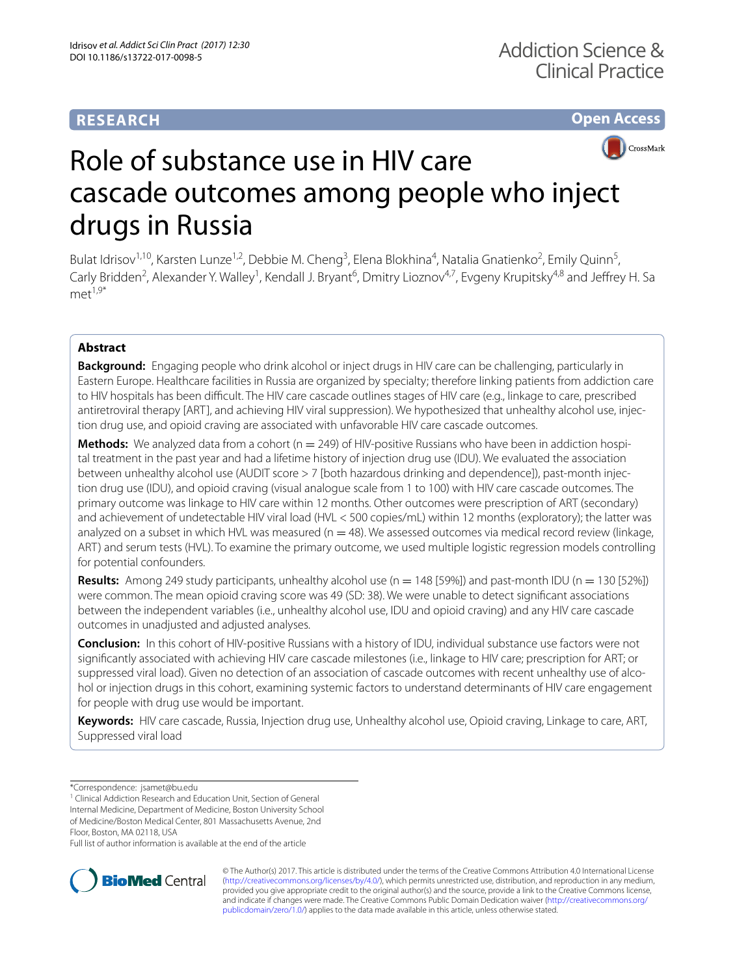# **RESEARCH**

# **Open Access**



# Role of substance use in HIV care cascade outcomes among people who inject drugs in Russia

Bulat Idrisov<sup>1,10</sup>, Karsten Lunze<sup>1,2</sup>, Debbie M. Cheng<sup>3</sup>, Elena Blokhina<sup>4</sup>, Natalia Gnatienko<sup>2</sup>, Emily Quinn<sup>5</sup>, Carly Bridden<sup>2</sup>, Alexander Y. Walley<sup>1</sup>, Kendall J. Bryant<sup>6</sup>, Dmitry Lioznov<sup>4,7</sup>, Evgeny Krupitsky<sup>4,8</sup> and Jeffrey H. Sa  $m$  $e^{1.9*}$ 

# **Abstract**

**Background:** Engaging people who drink alcohol or inject drugs in HIV care can be challenging, particularly in Eastern Europe. Healthcare facilities in Russia are organized by specialty; therefore linking patients from addiction care to HIV hospitals has been difficult. The HIV care cascade outlines stages of HIV care (e.g., linkage to care, prescribed antiretroviral therapy [ART], and achieving HIV viral suppression). We hypothesized that unhealthy alcohol use, injection drug use, and opioid craving are associated with unfavorable HIV care cascade outcomes.

**Methods:** We analyzed data from a cohort (n = 249) of HIV-positive Russians who have been in addiction hospital treatment in the past year and had a lifetime history of injection drug use (IDU). We evaluated the association between unhealthy alcohol use (AUDIT score > 7 [both hazardous drinking and dependence]), past-month injection drug use (IDU), and opioid craving (visual analogue scale from 1 to 100) with HIV care cascade outcomes. The primary outcome was linkage to HIV care within 12 months. Other outcomes were prescription of ART (secondary) and achievement of undetectable HIV viral load (HVL < 500 copies/mL) within 12 months (exploratory); the latter was analyzed on a subset in which HVL was measured ( $n = 48$ ). We assessed outcomes via medical record review (linkage, ART) and serum tests (HVL). To examine the primary outcome, we used multiple logistic regression models controlling for potential confounders.

**Results:** Among 249 study participants, unhealthy alcohol use  $(n = 148 \mid 59\%)$  and past-month IDU  $(n = 130 \mid 52\%)$ were common. The mean opioid craving score was 49 (SD: 38). We were unable to detect signifcant associations between the independent variables (i.e., unhealthy alcohol use, IDU and opioid craving) and any HIV care cascade outcomes in unadjusted and adjusted analyses.

**Conclusion:** In this cohort of HIV-positive Russians with a history of IDU, individual substance use factors were not signifcantly associated with achieving HIV care cascade milestones (i.e., linkage to HIV care; prescription for ART; or suppressed viral load). Given no detection of an association of cascade outcomes with recent unhealthy use of alcohol or injection drugs in this cohort, examining systemic factors to understand determinants of HIV care engagement for people with drug use would be important.

**Keywords:** HIV care cascade, Russia, Injection drug use, Unhealthy alcohol use, Opioid craving, Linkage to care, ART, Suppressed viral load

<sup>1</sup> Clinical Addiction Research and Education Unit, Section of General Internal Medicine, Department of Medicine, Boston University School

of Medicine/Boston Medical Center, 801 Massachusetts Avenue, 2nd

Floor, Boston, MA 02118, USA

Full list of author information is available at the end of the article



© The Author(s) 2017. This article is distributed under the terms of the Creative Commons Attribution 4.0 International License [\(http://creativecommons.org/licenses/by/4.0/\)](http://creativecommons.org/licenses/by/4.0/), which permits unrestricted use, distribution, and reproduction in any medium, provided you give appropriate credit to the original author(s) and the source, provide a link to the Creative Commons license, and indicate if changes were made. The Creative Commons Public Domain Dedication waiver ([http://creativecommons.org/](http://creativecommons.org/publicdomain/zero/1.0/) [publicdomain/zero/1.0/](http://creativecommons.org/publicdomain/zero/1.0/)) applies to the data made available in this article, unless otherwise stated.

<sup>\*</sup>Correspondence: jsamet@bu.edu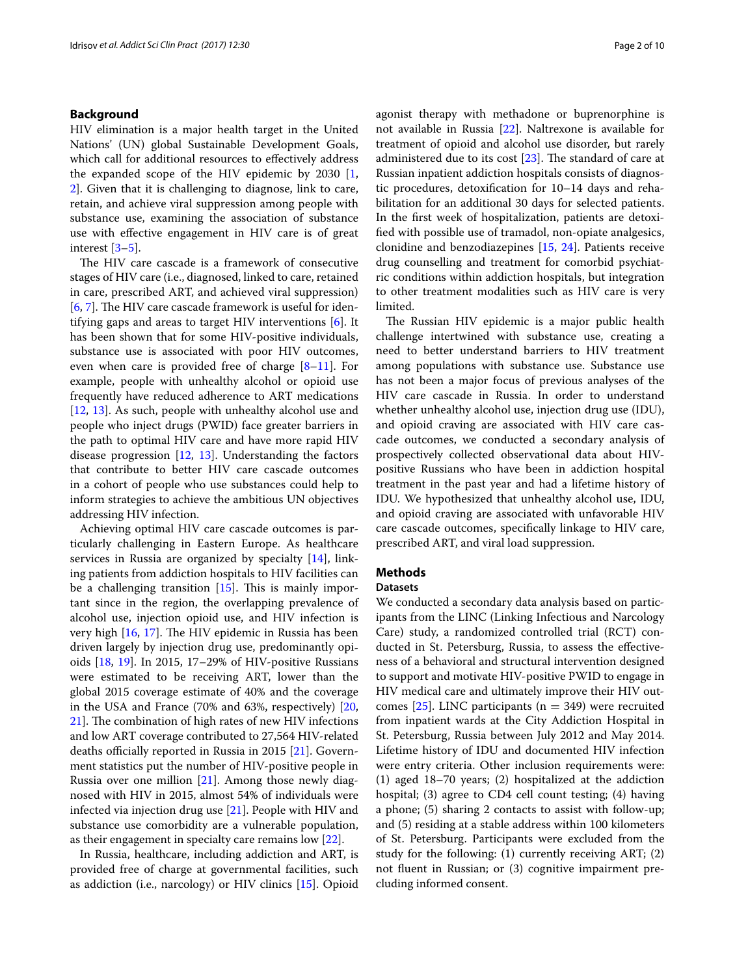## **Background**

HIV elimination is a major health target in the United Nations' (UN) global Sustainable Development Goals, which call for additional resources to efectively address the expanded scope of the HIV epidemic by 2030 [\[1](#page-7-0), [2\]](#page-7-1). Given that it is challenging to diagnose, link to care, retain, and achieve viral suppression among people with substance use, examining the association of substance use with efective engagement in HIV care is of great interest [\[3](#page-7-2)–[5\]](#page-7-3).

The HIV care cascade is a framework of consecutive stages of HIV care (i.e., diagnosed, linked to care, retained in care, prescribed ART, and achieved viral suppression)  $[6, 7]$  $[6, 7]$  $[6, 7]$  $[6, 7]$ . The HIV care cascade framework is useful for identifying gaps and areas to target HIV interventions [[6\]](#page-7-4). It has been shown that for some HIV-positive individuals, substance use is associated with poor HIV outcomes, even when care is provided free of charge [\[8](#page-7-6)[–11](#page-7-7)]. For example, people with unhealthy alcohol or opioid use frequently have reduced adherence to ART medications [[12,](#page-8-0) [13\]](#page-8-1). As such, people with unhealthy alcohol use and people who inject drugs (PWID) face greater barriers in the path to optimal HIV care and have more rapid HIV disease progression [\[12](#page-8-0), [13](#page-8-1)]. Understanding the factors that contribute to better HIV care cascade outcomes in a cohort of people who use substances could help to inform strategies to achieve the ambitious UN objectives addressing HIV infection.

Achieving optimal HIV care cascade outcomes is particularly challenging in Eastern Europe. As healthcare services in Russia are organized by specialty [\[14](#page-8-2)], linking patients from addiction hospitals to HIV facilities can be a challenging transition  $[15]$  $[15]$ . This is mainly important since in the region, the overlapping prevalence of alcohol use, injection opioid use, and HIV infection is very high  $[16, 17]$  $[16, 17]$  $[16, 17]$  $[16, 17]$ . The HIV epidemic in Russia has been driven largely by injection drug use, predominantly opioids [\[18,](#page-8-6) [19](#page-8-7)]. In 2015, 17–29% of HIV-positive Russians were estimated to be receiving ART, lower than the global 2015 coverage estimate of 40% and the coverage in the USA and France (70% and 63%, respectively) [\[20](#page-8-8),  $21$ ]. The combination of high rates of new HIV infections and low ART coverage contributed to 27,564 HIV-related deaths officially reported in Russia in 2015 [[21\]](#page-8-9). Government statistics put the number of HIV-positive people in Russia over one million [\[21\]](#page-8-9). Among those newly diagnosed with HIV in 2015, almost 54% of individuals were infected via injection drug use [\[21](#page-8-9)]. People with HIV and substance use comorbidity are a vulnerable population, as their engagement in specialty care remains low [[22\]](#page-8-10).

In Russia, healthcare, including addiction and ART, is provided free of charge at governmental facilities, such as addiction (i.e., narcology) or HIV clinics [\[15](#page-8-3)]. Opioid agonist therapy with methadone or buprenorphine is not available in Russia [[22\]](#page-8-10). Naltrexone is available for treatment of opioid and alcohol use disorder, but rarely administered due to its cost  $[23]$  $[23]$ . The standard of care at Russian inpatient addiction hospitals consists of diagnostic procedures, detoxifcation for 10–14 days and rehabilitation for an additional 30 days for selected patients. In the frst week of hospitalization, patients are detoxifed with possible use of tramadol, non-opiate analgesics, clonidine and benzodiazepines [\[15](#page-8-3), [24\]](#page-8-12). Patients receive drug counselling and treatment for comorbid psychiatric conditions within addiction hospitals, but integration to other treatment modalities such as HIV care is very limited.

The Russian HIV epidemic is a major public health challenge intertwined with substance use, creating a need to better understand barriers to HIV treatment among populations with substance use. Substance use has not been a major focus of previous analyses of the HIV care cascade in Russia. In order to understand whether unhealthy alcohol use, injection drug use (IDU), and opioid craving are associated with HIV care cascade outcomes, we conducted a secondary analysis of prospectively collected observational data about HIVpositive Russians who have been in addiction hospital treatment in the past year and had a lifetime history of IDU. We hypothesized that unhealthy alcohol use, IDU, and opioid craving are associated with unfavorable HIV care cascade outcomes, specifcally linkage to HIV care, prescribed ART, and viral load suppression.

## **Methods**

#### **Datasets**

We conducted a secondary data analysis based on participants from the LINC (Linking Infectious and Narcology Care) study, a randomized controlled trial (RCT) conducted in St. Petersburg, Russia, to assess the efectiveness of a behavioral and structural intervention designed to support and motivate HIV-positive PWID to engage in HIV medical care and ultimately improve their HIV outcomes  $[25]$  $[25]$ . LINC participants (n = 349) were recruited from inpatient wards at the City Addiction Hospital in St. Petersburg, Russia between July 2012 and May 2014. Lifetime history of IDU and documented HIV infection were entry criteria. Other inclusion requirements were: (1) aged 18–70 years; (2) hospitalized at the addiction hospital; (3) agree to CD4 cell count testing; (4) having a phone; (5) sharing 2 contacts to assist with follow-up; and (5) residing at a stable address within 100 kilometers of St. Petersburg. Participants were excluded from the study for the following: (1) currently receiving ART; (2) not fuent in Russian; or (3) cognitive impairment precluding informed consent.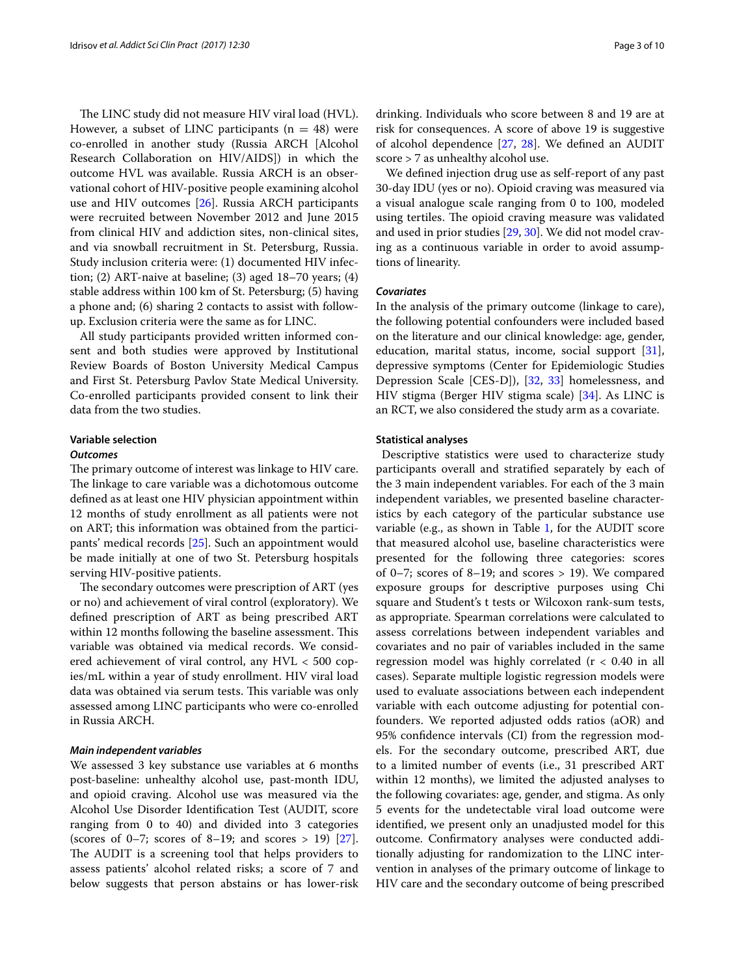The LINC study did not measure HIV viral load (HVL). However, a subset of LINC participants ( $n = 48$ ) were co-enrolled in another study (Russia ARCH [Alcohol Research Collaboration on HIV/AIDS]) in which the outcome HVL was available. Russia ARCH is an observational cohort of HIV-positive people examining alcohol use and HIV outcomes [\[26](#page-8-14)]. Russia ARCH participants were recruited between November 2012 and June 2015 from clinical HIV and addiction sites, non-clinical sites, and via snowball recruitment in St. Petersburg, Russia. Study inclusion criteria were: (1) documented HIV infection; (2) ART-naive at baseline; (3) aged 18–70 years; (4) stable address within 100 km of St. Petersburg; (5) having a phone and; (6) sharing 2 contacts to assist with followup. Exclusion criteria were the same as for LINC.

All study participants provided written informed consent and both studies were approved by Institutional Review Boards of Boston University Medical Campus and First St. Petersburg Pavlov State Medical University. Co-enrolled participants provided consent to link their data from the two studies.

## **Variable selection**

#### *Outcomes*

The primary outcome of interest was linkage to HIV care. The linkage to care variable was a dichotomous outcome defned as at least one HIV physician appointment within 12 months of study enrollment as all patients were not on ART; this information was obtained from the participants' medical records [[25\]](#page-8-13). Such an appointment would be made initially at one of two St. Petersburg hospitals serving HIV-positive patients.

The secondary outcomes were prescription of ART (yes or no) and achievement of viral control (exploratory). We defned prescription of ART as being prescribed ART within 12 months following the baseline assessment. This variable was obtained via medical records. We considered achievement of viral control, any HVL < 500 copies/mL within a year of study enrollment. HIV viral load data was obtained via serum tests. This variable was only assessed among LINC participants who were co-enrolled in Russia ARCH.

#### *Main independent variables*

We assessed 3 key substance use variables at 6 months post-baseline: unhealthy alcohol use, past-month IDU, and opioid craving. Alcohol use was measured via the Alcohol Use Disorder Identifcation Test (AUDIT, score ranging from 0 to 40) and divided into 3 categories (scores of 0–7; scores of 8–19; and scores > 19)  $[27]$  $[27]$ . The AUDIT is a screening tool that helps providers to assess patients' alcohol related risks; a score of 7 and below suggests that person abstains or has lower-risk drinking. Individuals who score between 8 and 19 are at risk for consequences. A score of above 19 is suggestive of alcohol dependence [[27](#page-8-15), [28](#page-8-16)]. We defned an AUDIT score > 7 as unhealthy alcohol use.

We defned injection drug use as self-report of any past 30-day IDU (yes or no). Opioid craving was measured via a visual analogue scale ranging from 0 to 100, modeled using tertiles. The opioid craving measure was validated and used in prior studies [[29](#page-8-17), [30\]](#page-8-18). We did not model craving as a continuous variable in order to avoid assumptions of linearity.

## *Covariates*

In the analysis of the primary outcome (linkage to care), the following potential confounders were included based on the literature and our clinical knowledge: age, gender, education, marital status, income, social support [\[31](#page-8-19)], depressive symptoms (Center for Epidemiologic Studies Depression Scale [CES-D]), [\[32,](#page-8-20) [33](#page-8-21)] homelessness, and HIV stigma (Berger HIV stigma scale) [\[34](#page-8-22)]. As LINC is an RCT, we also considered the study arm as a covariate.

#### **Statistical analyses**

 Descriptive statistics were used to characterize study participants overall and stratifed separately by each of the 3 main independent variables. For each of the 3 main independent variables, we presented baseline characteristics by each category of the particular substance use variable (e.g., as shown in Table [1](#page-3-0), for the AUDIT score that measured alcohol use, baseline characteristics were presented for the following three categories: scores of 0–7; scores of 8–19; and scores > 19). We compared exposure groups for descriptive purposes using Chi square and Student's t tests or Wilcoxon rank-sum tests, as appropriate. Spearman correlations were calculated to assess correlations between independent variables and covariates and no pair of variables included in the same regression model was highly correlated  $(r < 0.40$  in all cases). Separate multiple logistic regression models were used to evaluate associations between each independent variable with each outcome adjusting for potential confounders. We reported adjusted odds ratios (aOR) and 95% confdence intervals (CI) from the regression models. For the secondary outcome, prescribed ART, due to a limited number of events (i.e., 31 prescribed ART within 12 months), we limited the adjusted analyses to the following covariates: age, gender, and stigma. As only 5 events for the undetectable viral load outcome were identifed, we present only an unadjusted model for this outcome. Confrmatory analyses were conducted additionally adjusting for randomization to the LINC intervention in analyses of the primary outcome of linkage to HIV care and the secondary outcome of being prescribed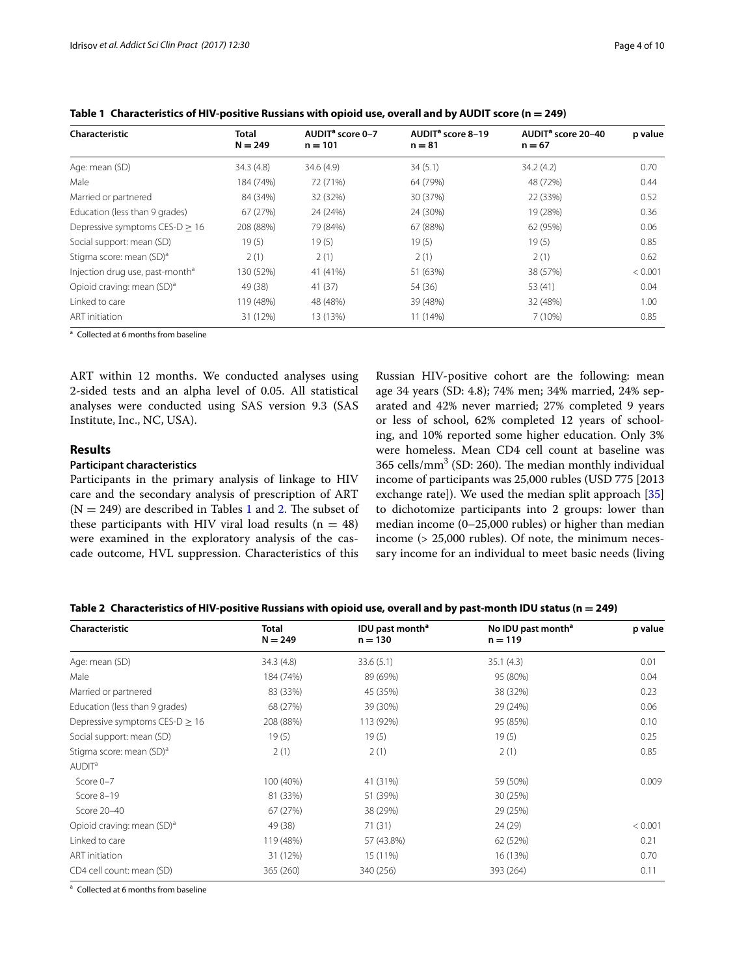| Characteristic                              | Total<br>$N = 249$ | AUDIT <sup>a</sup> score 0-7<br>$n = 101$ | AUDIT <sup>a</sup> score 8-19<br>$n = 81$ | AUDIT <sup>a</sup> score 20-40<br>$n = 67$ | p value |
|---------------------------------------------|--------------------|-------------------------------------------|-------------------------------------------|--------------------------------------------|---------|
| Age: mean (SD)                              | 34.3(4.8)          | 34.6(4.9)                                 | 34(5.1)                                   | 34.2(4.2)                                  | 0.70    |
| Male                                        | 184 (74%)          | 72 (71%)                                  | 64 (79%)                                  | 48 (72%)                                   | 0.44    |
| Married or partnered                        | 84 (34%)           | 32 (32%)                                  | 30 (37%)                                  | 22 (33%)                                   | 0.52    |
| Education (less than 9 grades)              | 67 (27%)           | 24 (24%)                                  | 24 (30%)                                  | 19 (28%)                                   | 0.36    |
| Depressive symptoms CES-D $> 16$            | 208 (88%)          | 79 (84%)                                  | 67 (88%)                                  | 62 (95%)                                   | 0.06    |
| Social support: mean (SD)                   | 19(5)              | 19(5)                                     | 19(5)                                     | 19(5)                                      | 0.85    |
| Stigma score: mean (SD) <sup>a</sup>        | 2(1)               | 2(1)                                      | 2(1)                                      | 2(1)                                       | 0.62    |
| Injection drug use, past-month <sup>a</sup> | 130 (52%)          | 41 (41%)                                  | 51 (63%)                                  | 38 (57%)                                   | < 0.001 |
| Opioid craving: mean (SD) <sup>a</sup>      | 49 (38)            | 41(37)                                    | 54 (36)                                   | 53 (41)                                    | 0.04    |
| Linked to care                              | 119 (48%)          | 48 (48%)                                  | 39 (48%)                                  | 32 (48%)                                   | 1.00    |
| <b>ART</b> initiation                       | 31 (12%)           | 13 (13%)                                  | 11 (14%)                                  | 7(10%)                                     | 0.85    |

<span id="page-3-0"></span>**Table 1 Characteristics of HIV-positive Russians with opioid use, overall and by AUDIT score (n = 249)**

<sup>a</sup> Collected at 6 months from baseline

ART within 12 months. We conducted analyses using 2-sided tests and an alpha level of 0.05. All statistical analyses were conducted using SAS version 9.3 (SAS Institute, Inc., NC, USA).

## **Results**

## **Participant characteristics**

Participants in the primary analysis of linkage to HIV care and the secondary analysis of prescription of ART  $(N = 249)$  $(N = 249)$  $(N = 249)$  are described in Tables [1](#page-3-0) and 2. The subset of these participants with HIV viral load results  $(n = 48)$ were examined in the exploratory analysis of the cascade outcome, HVL suppression. Characteristics of this

Russian HIV-positive cohort are the following: mean age 34 years (SD: 4.8); 74% men; 34% married, 24% separated and 42% never married; 27% completed 9 years or less of school, 62% completed 12 years of schooling, and 10% reported some higher education. Only 3% were homeless. Mean CD4 cell count at baseline was  $365$  cells/mm<sup>3</sup> (SD: 260). The median monthly individual income of participants was 25,000 rubles (USD 775 [2013 exchange rate]). We used the median split approach [[35](#page-8-23)] to dichotomize participants into 2 groups: lower than median income (0–25,000 rubles) or higher than median income (> 25,000 rubles). Of note, the minimum necessary income for an individual to meet basic needs (living

<span id="page-3-1"></span>**Table 2 Characteristics of HIV-positive Russians with opioid use, overall and by past-month IDU status (n = 249)**

| Characteristic                         | Total<br>$N = 249$ | IDU past month <sup>a</sup><br>$n = 130$ | No IDU past month <sup>a</sup><br>$n = 119$ | p value |  |
|----------------------------------------|--------------------|------------------------------------------|---------------------------------------------|---------|--|
| Age: mean (SD)                         | 34.3(4.8)          | 33.6(5.1)                                | 35.1(4.3)                                   | 0.01    |  |
| Male                                   | 184 (74%)          | 89 (69%)                                 | 95 (80%)                                    | 0.04    |  |
| Married or partnered                   | 83 (33%)           | 45 (35%)                                 | 38 (32%)                                    | 0.23    |  |
| Education (less than 9 grades)         | 68 (27%)           | 39 (30%)                                 | 29 (24%)                                    | 0.06    |  |
| Depressive symptoms CES-D $\geq$ 16    | 208 (88%)          | 113 (92%)                                | 95 (85%)                                    | 0.10    |  |
| Social support: mean (SD)              | 19(5)              | 19(5)                                    | 19(5)                                       | 0.25    |  |
| Stigma score: mean (SD) <sup>a</sup>   | 2(1)               | 2(1)                                     | 2(1)                                        | 0.85    |  |
| AUDIT <sup>a</sup>                     |                    |                                          |                                             |         |  |
| Score 0-7                              | 100 (40%)          | 41 (31%)                                 | 59 (50%)                                    | 0.009   |  |
| Score 8-19                             | 81 (33%)           | 51 (39%)                                 | 30 (25%)                                    |         |  |
| Score 20-40                            | 67 (27%)           | 38 (29%)                                 | 29 (25%)                                    |         |  |
| Opioid craving: mean (SD) <sup>a</sup> | 49 (38)            | 71(31)                                   | 24 (29)                                     | < 0.001 |  |
| Linked to care                         | 119 (48%)          | 57 (43.8%)                               | 62 (52%)                                    | 0.21    |  |
| ART initiation                         | 31 (12%)           | 15 (11%)                                 | 16 (13%)                                    | 0.70    |  |
| CD4 cell count: mean (SD)              | 365 (260)          | 340 (256)                                | 393 (264)                                   | 0.11    |  |

<sup>a</sup> Collected at 6 months from baseline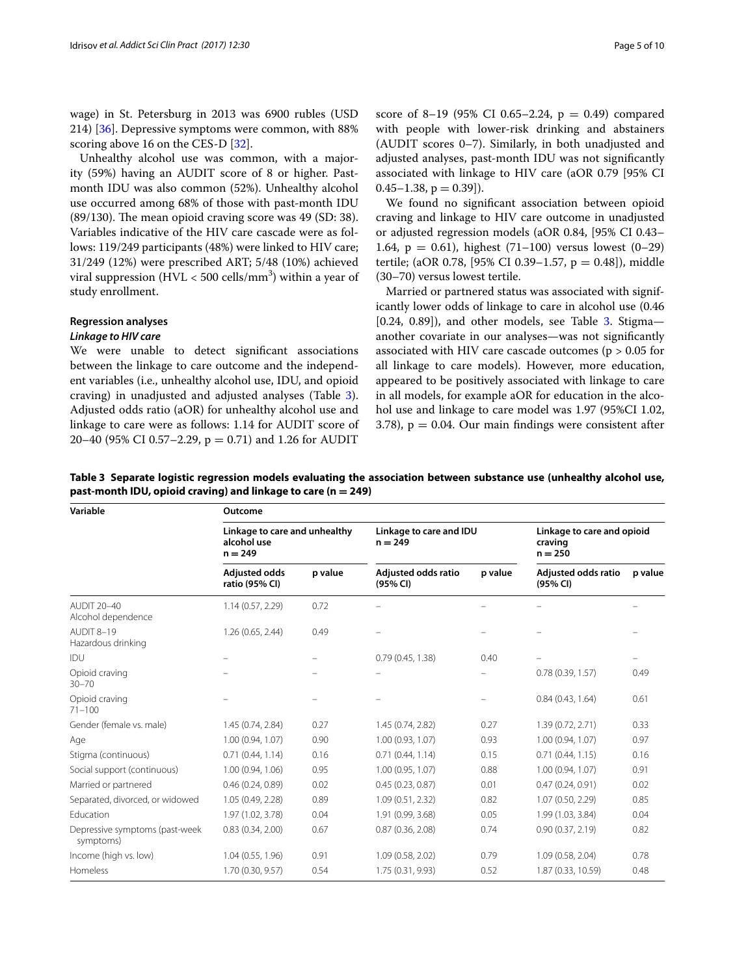wage) in St. Petersburg in 2013 was 6900 rubles (USD 214) [\[36](#page-8-24)]. Depressive symptoms were common, with 88% scoring above 16 on the CES-D [[32\]](#page-8-20).

Unhealthy alcohol use was common, with a majority (59%) having an AUDIT score of 8 or higher. Pastmonth IDU was also common (52%). Unhealthy alcohol use occurred among 68% of those with past-month IDU  $(89/130)$ . The mean opioid craving score was 49 (SD: 38). Variables indicative of the HIV care cascade were as follows: 119/249 participants (48%) were linked to HIV care; 31/249 (12%) were prescribed ART; 5/48 (10%) achieved viral suppression (HVL  $<$  500 cells/mm<sup>3</sup>) within a year of study enrollment.

# **Regression analyses**

## *Linkage to HIV care*

We were unable to detect signifcant associations between the linkage to care outcome and the independent variables (i.e., unhealthy alcohol use, IDU, and opioid craving) in unadjusted and adjusted analyses (Table [3](#page-4-0)). Adjusted odds ratio (aOR) for unhealthy alcohol use and linkage to care were as follows: 1.14 for AUDIT score of 20–40 (95% CI 0.57–2.29,  $p = 0.71$ ) and 1.26 for AUDIT score of 8-19 (95% CI 0.65-2.24,  $p = 0.49$ ) compared with people with lower-risk drinking and abstainers (AUDIT scores 0–7). Similarly, in both unadjusted and adjusted analyses, past-month IDU was not signifcantly associated with linkage to HIV care (aOR 0.79 [95% CI  $0.45-1.38$ ,  $p = 0.39$ ]).

We found no signifcant association between opioid craving and linkage to HIV care outcome in unadjusted or adjusted regression models (aOR 0.84, [95% CI 0.43– 1.64,  $p = 0.61$ ), highest (71-100) versus lowest (0-29) tertile; (aOR 0.78, [95% CI 0.39–1.57,  $p = 0.48$ ]), middle (30–70) versus lowest tertile.

Married or partnered status was associated with significantly lower odds of linkage to care in alcohol use (0.46  $[0.24, 0.89]$ ), and other models, see Table [3](#page-4-0). Stigmaanother covariate in our analyses—was not signifcantly associated with HIV care cascade outcomes ( $p > 0.05$  for all linkage to care models). However, more education, appeared to be positively associated with linkage to care in all models, for example aOR for education in the alcohol use and linkage to care model was 1.97 (95%CI 1.02,  $3.78$ ),  $p = 0.04$ . Our main findings were consistent after

<span id="page-4-0"></span>**Table 3 Separate logistic regression models evaluating the association between substance use (unhealthy alcohol use, past-month IDU, opioid craving) and linkage to care (n = 249)**

| Variable                                    | Outcome                                                   |         |                                      |         |                                                    |         |  |  |
|---------------------------------------------|-----------------------------------------------------------|---------|--------------------------------------|---------|----------------------------------------------------|---------|--|--|
|                                             | Linkage to care and unhealthy<br>alcohol use<br>$n = 249$ |         | Linkage to care and IDU<br>$n = 249$ |         | Linkage to care and opioid<br>craving<br>$n = 250$ |         |  |  |
|                                             | <b>Adjusted odds</b><br>ratio (95% CI)                    | p value | Adjusted odds ratio<br>(95% CI)      | p value | Adjusted odds ratio<br>(95% CI)                    | p value |  |  |
| <b>AUDIT 20-40</b><br>Alcohol dependence    | 1.14(0.57, 2.29)                                          | 0.72    |                                      |         |                                                    |         |  |  |
| AUDIT 8-19<br>Hazardous drinking            | 1.26 (0.65, 2.44)                                         | 0.49    |                                      |         |                                                    |         |  |  |
| IDU                                         |                                                           |         | 0.79(0.45, 1.38)                     | 0.40    |                                                    |         |  |  |
| Opioid craving<br>$30 - 70$                 |                                                           |         |                                      |         | 0.78(0.39, 1.57)                                   | 0.49    |  |  |
| Opioid craving<br>$71 - 100$                |                                                           |         |                                      |         | 0.84(0.43, 1.64)                                   | 0.61    |  |  |
| Gender (female vs. male)                    | 1.45 (0.74, 2.84)                                         | 0.27    | 1.45 (0.74, 2.82)                    | 0.27    | 1.39 (0.72, 2.71)                                  | 0.33    |  |  |
| Age                                         | 1.00 (0.94, 1.07)                                         | 0.90    | 1.00 (0.93, 1.07)                    | 0.93    | 1.00 (0.94, 1.07)                                  | 0.97    |  |  |
| Stigma (continuous)                         | 0.71(0.44, 1.14)                                          | 0.16    | 0.71(0.44, 1.14)                     | 0.15    | 0.71(0.44, 1.15)                                   | 0.16    |  |  |
| Social support (continuous)                 | 1.00 (0.94, 1.06)                                         | 0.95    | 1.00 (0.95, 1.07)                    | 0.88    | 1.00 (0.94, 1.07)                                  | 0.91    |  |  |
| Married or partnered                        | 0.46(0.24, 0.89)                                          | 0.02    | 0.45(0.23, 0.87)                     | 0.01    | 0.47(0.24, 0.91)                                   | 0.02    |  |  |
| Separated, divorced, or widowed             | 1.05 (0.49, 2.28)                                         | 0.89    | 1.09(0.51, 2.32)                     | 0.82    | 1.07 (0.50, 2.29)                                  | 0.85    |  |  |
| Education                                   | 1.97 (1.02, 3.78)                                         | 0.04    | 1.91 (0.99, 3.68)                    | 0.05    | 1.99 (1.03, 3.84)                                  | 0.04    |  |  |
| Depressive symptoms (past-week<br>symptoms) | 0.83(0.34, 2.00)                                          | 0.67    | 0.87(0.36, 2.08)                     | 0.74    | 0.90(0.37, 2.19)                                   | 0.82    |  |  |
| Income (high vs. low)                       | 1.04 (0.55, 1.96)                                         | 0.91    | 1.09 (0.58, 2.02)                    | 0.79    | 1.09 (0.58, 2.04)                                  | 0.78    |  |  |
| Homeless                                    | 1.70 (0.30, 9.57)                                         | 0.54    | 1.75 (0.31, 9.93)                    | 0.52    | 1.87 (0.33, 10.59)                                 | 0.48    |  |  |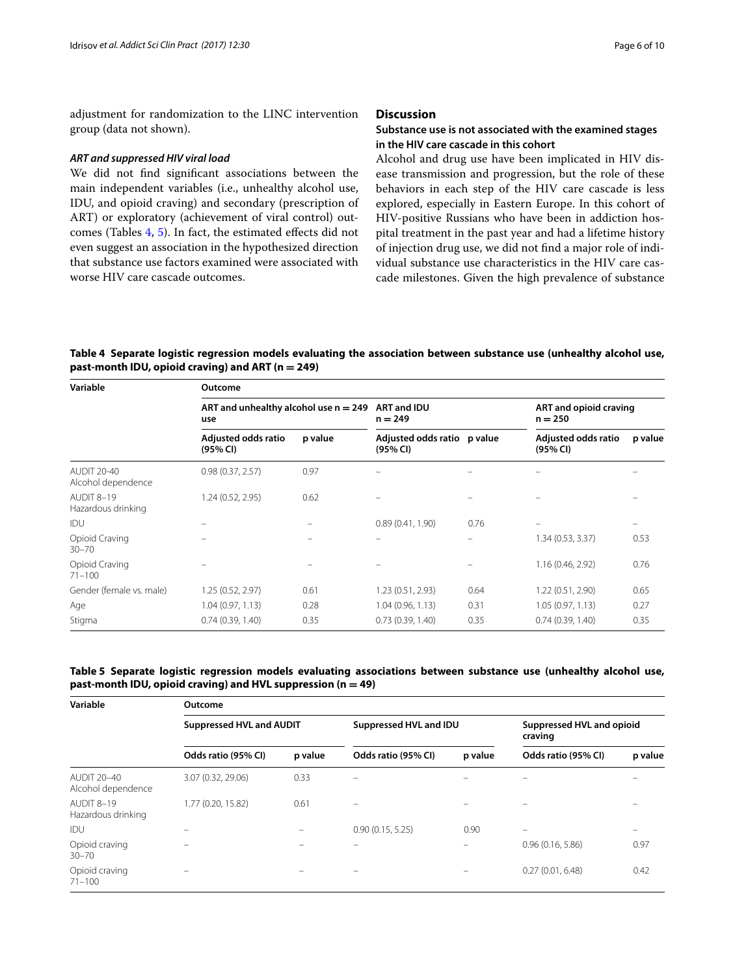adjustment for randomization to the LINC intervention group (data not shown).

## *ART and suppressed HIV viral load*

We did not fnd signifcant associations between the main independent variables (i.e., unhealthy alcohol use, IDU, and opioid craving) and secondary (prescription of ART) or exploratory (achievement of viral control) outcomes (Tables [4,](#page-5-0) [5\)](#page-5-1). In fact, the estimated efects did not even suggest an association in the hypothesized direction that substance use factors examined were associated with worse HIV care cascade outcomes.

## **Discussion**

## **Substance use is not associated with the examined stages in the HIV care cascade in this cohort**

Alcohol and drug use have been implicated in HIV disease transmission and progression, but the role of these behaviors in each step of the HIV care cascade is less explored, especially in Eastern Europe. In this cohort of HIV-positive Russians who have been in addiction hospital treatment in the past year and had a lifetime history of injection drug use, we did not fnd a major role of individual substance use characteristics in the HIV care cascade milestones. Given the high prevalence of substance

<span id="page-5-0"></span>**Table 4 Separate logistic regression models evaluating the association between substance use (unhealthy alcohol use, past-month IDU, opioid craving) and ART (n = 249)**

| Variable                                 | Outcome                                        |         |                                         |      |                                     |         |  |  |
|------------------------------------------|------------------------------------------------|---------|-----------------------------------------|------|-------------------------------------|---------|--|--|
|                                          | ART and unhealthy alcohol use $n = 249$<br>use |         | <b>ART and IDU</b><br>$n = 249$         |      | ART and opioid craving<br>$n = 250$ |         |  |  |
|                                          | Adjusted odds ratio<br>(95% CI)                | p value | Adjusted odds ratio p value<br>(95% CI) |      | Adjusted odds ratio<br>(95% CI)     | p value |  |  |
| <b>AUDIT 20-40</b><br>Alcohol dependence | 0.98(0.37, 2.57)                               | 0.97    |                                         |      |                                     |         |  |  |
| AUDIT 8-19<br>Hazardous drinking         | 1.24 (0.52, 2.95)                              | 0.62    |                                         |      |                                     |         |  |  |
| IDU                                      |                                                |         | 0.89(0.41, 1.90)                        | 0.76 |                                     |         |  |  |
| Opioid Craving<br>$30 - 70$              |                                                |         |                                         |      | 1.34 (0.53, 3.37)                   | 0.53    |  |  |
| Opioid Craving<br>$71 - 100$             |                                                |         |                                         |      | 1.16 (0.46, 2.92)                   | 0.76    |  |  |
| Gender (female vs. male)                 | 1.25 (0.52, 2.97)                              | 0.61    | 1.23(0.51, 2.93)                        | 0.64 | 1.22 (0.51, 2.90)                   | 0.65    |  |  |
| Age                                      | 1.04(0.97, 1.13)                               | 0.28    | 1.04(0.96, 1.13)                        | 0.31 | 1.05(0.97, 1.13)                    | 0.27    |  |  |
| Stigma                                   | 0.74(0.39, 1.40)                               | 0.35    | 0.73(0.39, 1.40)                        | 0.35 | 0.74(0.39, 1.40)                    | 0.35    |  |  |

## <span id="page-5-1"></span>**Table 5 Separate logistic regression models evaluating associations between substance use (unhealthy alcohol use, past-month IDU, opioid craving) and HVL suppression (n = 49)**

| Variable                                 | Outcome                         |         |                        |         |                                      |                          |  |  |  |
|------------------------------------------|---------------------------------|---------|------------------------|---------|--------------------------------------|--------------------------|--|--|--|
|                                          | <b>Suppressed HVL and AUDIT</b> |         | Suppressed HVL and IDU |         | Suppressed HVL and opioid<br>craving |                          |  |  |  |
|                                          | Odds ratio (95% CI)             | p value | Odds ratio (95% CI)    | p value | Odds ratio (95% CI)                  | p value                  |  |  |  |
| <b>AUDIT 20-40</b><br>Alcohol dependence | 3.07 (0.32, 29.06)              | 0.33    |                        |         |                                      |                          |  |  |  |
| AUDIT 8-19<br>Hazardous drinking         | 1.77 (0.20, 15.82)              | 0.61    |                        |         |                                      |                          |  |  |  |
| IDU                                      |                                 |         | 0.90(0.15, 5.25)       | 0.90    | -                                    | $\overline{\phantom{0}}$ |  |  |  |
| Opioid craving<br>$30 - 70$              |                                 |         |                        |         | 0.96(0.16, 5.86)                     | 0.97                     |  |  |  |
| Opioid craving<br>$71 - 100$             |                                 |         |                        |         | 0.27(0.01, 6.48)                     | 0.42                     |  |  |  |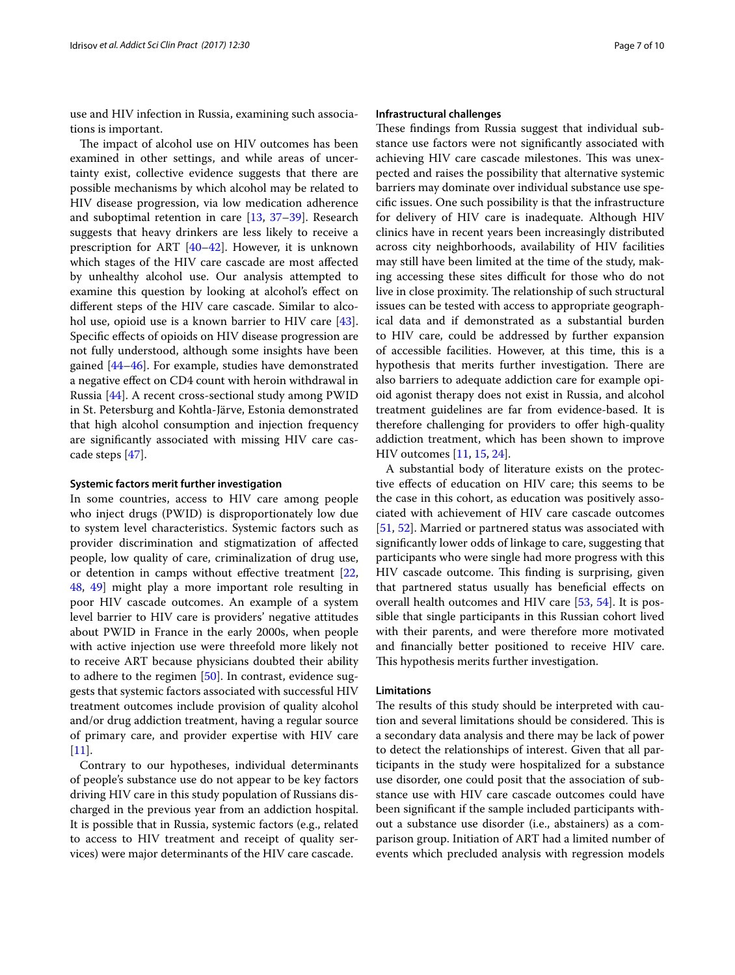use and HIV infection in Russia, examining such associations is important.

The impact of alcohol use on HIV outcomes has been examined in other settings, and while areas of uncertainty exist, collective evidence suggests that there are possible mechanisms by which alcohol may be related to HIV disease progression, via low medication adherence and suboptimal retention in care [[13,](#page-8-1) [37–](#page-8-25)[39](#page-8-26)]. Research suggests that heavy drinkers are less likely to receive a prescription for ART [\[40](#page-8-27)[–42](#page-8-28)]. However, it is unknown which stages of the HIV care cascade are most afected by unhealthy alcohol use. Our analysis attempted to examine this question by looking at alcohol's efect on diferent steps of the HIV care cascade. Similar to alcohol use, opioid use is a known barrier to HIV care [\[43](#page-8-29)]. Specifc efects of opioids on HIV disease progression are not fully understood, although some insights have been gained [\[44–](#page-8-30)[46\]](#page-8-31). For example, studies have demonstrated a negative efect on CD4 count with heroin withdrawal in Russia [[44](#page-8-30)]. A recent cross-sectional study among PWID in St. Petersburg and Kohtla-Järve, Estonia demonstrated that high alcohol consumption and injection frequency are signifcantly associated with missing HIV care cascade steps [[47\]](#page-8-32).

#### **Systemic factors merit further investigation**

In some countries, access to HIV care among people who inject drugs (PWID) is disproportionately low due to system level characteristics. Systemic factors such as provider discrimination and stigmatization of afected people, low quality of care, criminalization of drug use, or detention in camps without efective treatment [\[22](#page-8-10), [48,](#page-8-33) [49](#page-8-34)] might play a more important role resulting in poor HIV cascade outcomes. An example of a system level barrier to HIV care is providers' negative attitudes about PWID in France in the early 2000s, when people with active injection use were threefold more likely not to receive ART because physicians doubted their ability to adhere to the regimen [[50](#page-8-35)]. In contrast, evidence suggests that systemic factors associated with successful HIV treatment outcomes include provision of quality alcohol and/or drug addiction treatment, having a regular source of primary care, and provider expertise with HIV care [[11\]](#page-7-7).

Contrary to our hypotheses, individual determinants of people's substance use do not appear to be key factors driving HIV care in this study population of Russians discharged in the previous year from an addiction hospital. It is possible that in Russia, systemic factors (e.g., related to access to HIV treatment and receipt of quality services) were major determinants of the HIV care cascade.

#### **Infrastructural challenges**

These findings from Russia suggest that individual substance use factors were not signifcantly associated with achieving HIV care cascade milestones. This was unexpected and raises the possibility that alternative systemic barriers may dominate over individual substance use specifc issues. One such possibility is that the infrastructure for delivery of HIV care is inadequate. Although HIV clinics have in recent years been increasingly distributed across city neighborhoods, availability of HIV facilities may still have been limited at the time of the study, making accessing these sites difficult for those who do not live in close proximity. The relationship of such structural issues can be tested with access to appropriate geographical data and if demonstrated as a substantial burden to HIV care, could be addressed by further expansion of accessible facilities. However, at this time, this is a hypothesis that merits further investigation. There are also barriers to adequate addiction care for example opioid agonist therapy does not exist in Russia, and alcohol treatment guidelines are far from evidence-based. It is therefore challenging for providers to offer high-quality addiction treatment, which has been shown to improve HIV outcomes [\[11,](#page-7-7) [15](#page-8-3), [24\]](#page-8-12).

A substantial body of literature exists on the protective efects of education on HIV care; this seems to be the case in this cohort, as education was positively associated with achievement of HIV care cascade outcomes [[51,](#page-8-36) [52](#page-8-37)]. Married or partnered status was associated with signifcantly lower odds of linkage to care, suggesting that participants who were single had more progress with this HIV cascade outcome. This finding is surprising, given that partnered status usually has benefcial efects on overall health outcomes and HIV care [[53](#page-9-0), [54](#page-9-1)]. It is possible that single participants in this Russian cohort lived with their parents, and were therefore more motivated and fnancially better positioned to receive HIV care. This hypothesis merits further investigation.

## **Limitations**

The results of this study should be interpreted with caution and several limitations should be considered. This is a secondary data analysis and there may be lack of power to detect the relationships of interest. Given that all participants in the study were hospitalized for a substance use disorder, one could posit that the association of substance use with HIV care cascade outcomes could have been signifcant if the sample included participants without a substance use disorder (i.e., abstainers) as a comparison group. Initiation of ART had a limited number of events which precluded analysis with regression models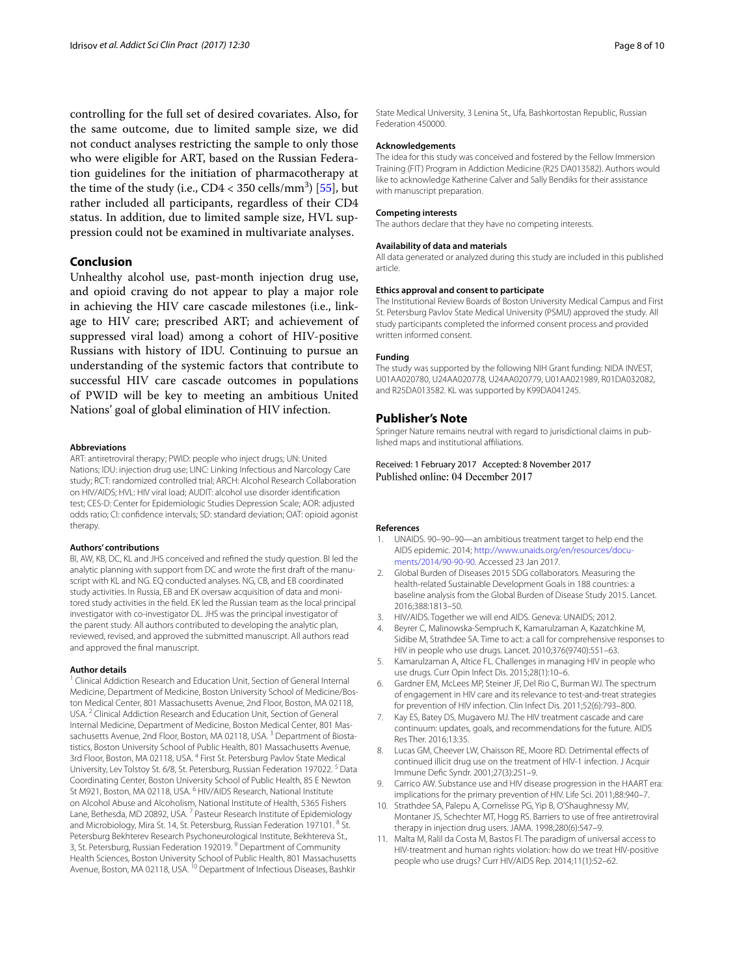controlling for the full set of desired covariates. Also, for the same outcome, due to limited sample size, we did not conduct analyses restricting the sample to only those who were eligible for ART, based on the Russian Federation guidelines for the initiation of pharmacotherapy at the time of the study (i.e.,  $CD4 < 350$  cells/mm<sup>3</sup>) [\[55\]](#page-9-2), but rather included all participants, regardless of their CD4 status. In addition, due to limited sample size, HVL suppression could not be examined in multivariate analyses.

## **Conclusion**

Unhealthy alcohol use, past-month injection drug use, and opioid craving do not appear to play a major role in achieving the HIV care cascade milestones (i.e., linkage to HIV care; prescribed ART; and achievement of suppressed viral load) among a cohort of HIV-positive Russians with history of IDU. Continuing to pursue an understanding of the systemic factors that contribute to successful HIV care cascade outcomes in populations of PWID will be key to meeting an ambitious United Nations' goal of global elimination of HIV infection.

#### **Abbreviations**

ART: antiretroviral therapy; PWID: people who inject drugs; UN: United Nations; IDU: injection drug use; LINC: Linking Infectious and Narcology Care study; RCT: randomized controlled trial; ARCH: Alcohol Research Collaboration on HIV/AIDS; HVL: HIV viral load; AUDIT: alcohol use disorder identifcation test; CES-D: Center for Epidemiologic Studies Depression Scale; AOR: adjusted odds ratio; CI: confdence intervals; SD: standard deviation; OAT: opioid agonist therapy.

#### **Authors' contributions**

BI, AW, KB, DC, KL and JHS conceived and refned the study question. BI led the analytic planning with support from DC and wrote the frst draft of the manuscript with KL and NG. EQ conducted analyses. NG, CB, and EB coordinated study activities. In Russia, EB and EK oversaw acquisition of data and monitored study activities in the feld. EK led the Russian team as the local principal investigator with co-investigator DL. JHS was the principal investigator of the parent study. All authors contributed to developing the analytic plan, reviewed, revised, and approved the submitted manuscript. All authors read and approved the fnal manuscript.

#### **Author details**

<sup>1</sup> Clinical Addiction Research and Education Unit, Section of General Internal Medicine, Department of Medicine, Boston University School of Medicine/Boston Medical Center, 801 Massachusetts Avenue, 2nd Floor, Boston, MA 02118, USA. <sup>2</sup> Clinical Addiction Research and Education Unit, Section of General Internal Medicine, Department of Medicine, Boston Medical Center, 801 Massachusetts Avenue, 2nd Floor, Boston, MA 02118, USA.<sup>3</sup> Department of Biostatistics, Boston University School of Public Health, 801 Massachusetts Avenue, 3rd Floor, Boston, MA 02118, USA. 4 First St. Petersburg Pavlov State Medical University, Lev Tolstoy St. 6/8, St. Petersburg, Russian Federation 197022. 5 Data Coordinating Center, Boston University School of Public Health, 85 E Newton St M921, Boston, MA 02118, USA. <sup>6</sup> HIV/AIDS Research, National Institute on Alcohol Abuse and Alcoholism, National Institute of Health, 5365 Fishers Lane, Bethesda, MD 20892, USA.<sup>7</sup> Pasteur Research Institute of Epidemiology and Microbiology, Mira St. 14, St. Petersburg, Russian Federation 197101. <sup>8</sup> St. Petersburg Bekhterev Research Psychoneurological Institute, Bekhtereva St., 3, St. Petersburg, Russian Federation 192019.<sup>9</sup> Department of Community Health Sciences, Boston University School of Public Health, 801 Massachusetts<br>Avenue, Boston, MA 02118, USA. <sup>10</sup> Department of Infectious Diseases, Bashkir

State Medical University, 3 Lenina St., Ufa, Bashkortostan Republic, Russian Federation 450000.

#### **Acknowledgements**

The idea for this study was conceived and fostered by the Fellow Immersion Training (FIT) Program in Addiction Medicine (R25 DA013582). Authors would like to acknowledge Katherine Calver and Sally Bendiks for their assistance with manuscript preparation.

#### **Competing interests**

The authors declare that they have no competing interests.

#### **Availability of data and materials**

All data generated or analyzed during this study are included in this published article.

#### **Ethics approval and consent to participate**

The Institutional Review Boards of Boston University Medical Campus and First St. Petersburg Pavlov State Medical University (PSMU) approved the study. All study participants completed the informed consent process and provided written informed consent.

#### **Funding**

The study was supported by the following NIH Grant funding: NIDA INVEST, U01AA020780, U24AA020778, U24AA020779, U01AA021989, R01DA032082, and R25DA013582. KL was supported by K99DA041245.

#### **Publisher's Note**

Springer Nature remains neutral with regard to jurisdictional claims in published maps and institutional afliations.

Received: 1 February 2017 Accepted: 8 November 2017 Published online: 04 December 2017

#### **References**

- <span id="page-7-0"></span>UNAIDS. 90-90-90-an ambitious treatment target to help end the AIDS epidemic. 2014; [http://www.unaids.org/en/resources/docu](http://www.unaids.org/en/resources/documents/2014/90-90-90)[ments/2014/90-90-90.](http://www.unaids.org/en/resources/documents/2014/90-90-90) Accessed 23 Jan 2017.
- <span id="page-7-1"></span>2. Global Burden of Diseases 2015 SDG collaborators. Measuring the health-related Sustainable Development Goals in 188 countries: a baseline analysis from the Global Burden of Disease Study 2015. Lancet. 2016;388:1813–50.
- <span id="page-7-2"></span>3. HIV/AIDS. Together we will end AIDS. Geneva: UNAIDS; 2012.
- 4. Beyrer C, Malinowska-Sempruch K, Kamarulzaman A, Kazatchkine M, Sidibe M, Strathdee SA. Time to act: a call for comprehensive responses to HIV in people who use drugs. Lancet. 2010;376(9740):551–63.
- <span id="page-7-3"></span>5. Kamarulzaman A, Altice FL. Challenges in managing HIV in people who use drugs. Curr Opin Infect Dis. 2015;28(1):10–6.
- <span id="page-7-4"></span>6. Gardner EM, McLees MP, Steiner JF, Del Rio C, Burman WJ. The spectrum of engagement in HIV care and its relevance to test-and-treat strategies for prevention of HIV infection. Clin Infect Dis. 2011;52(6):793–800.
- <span id="page-7-5"></span>7. Kay ES, Batey DS, Mugavero MJ. The HIV treatment cascade and care continuum: updates, goals, and recommendations for the future. AIDS Res Ther. 2016;13:35.
- <span id="page-7-6"></span>8. Lucas GM, Cheever LW, Chaisson RE, Moore RD. Detrimental effects of continued illicit drug use on the treatment of HIV-1 infection. J Acquir Immune Defc Syndr. 2001;27(3):251–9.
- 9. Carrico AW. Substance use and HIV disease progression in the HAART era: implications for the primary prevention of HIV. Life Sci. 2011;88:940–7.
- 10. Strathdee SA, Palepu A, Cornelisse PG, Yip B, O'Shaughnessy MV, Montaner JS, Schechter MT, Hogg RS. Barriers to use of free antiretroviral therapy in injection drug users. JAMA. 1998;280(6):547–9.
- <span id="page-7-7"></span>11. Malta M, Ralil da Costa M, Bastos FI. The paradigm of universal access to HIV-treatment and human rights violation: how do we treat HIV-positive people who use drugs? Curr HIV/AIDS Rep. 2014;11(1):52–62.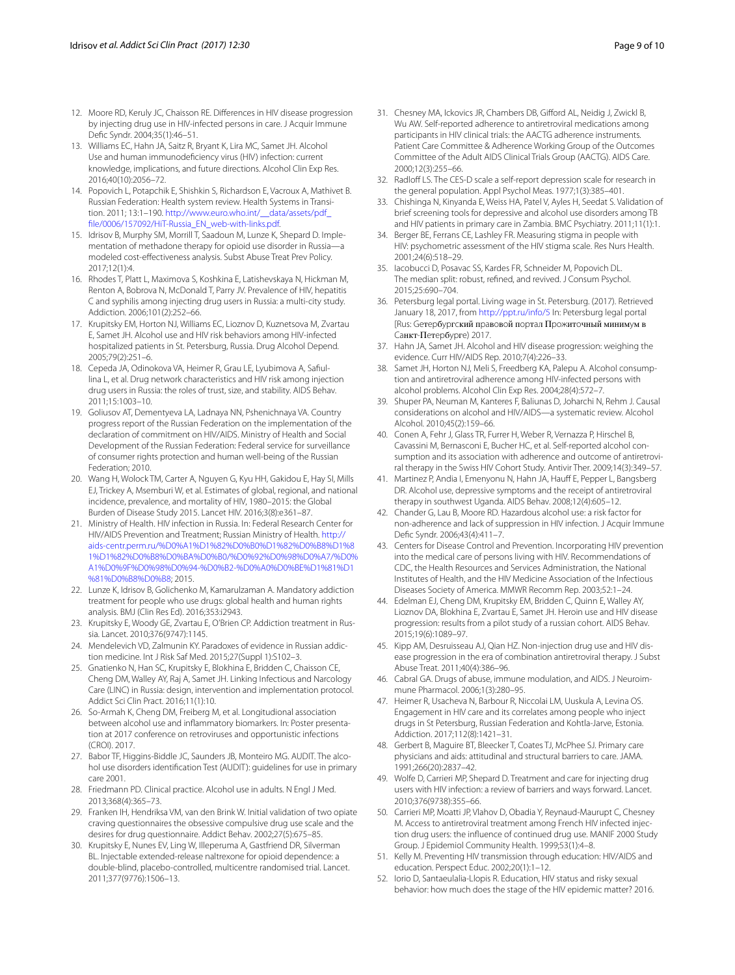- <span id="page-8-0"></span>12. Moore RD, Keruly JC, Chaisson RE. Diferences in HIV disease progression by injecting drug use in HIV-infected persons in care. J Acquir Immune Defc Syndr. 2004;35(1):46–51.
- <span id="page-8-1"></span>13. Williams EC, Hahn JA, Saitz R, Bryant K, Lira MC, Samet JH. Alcohol Use and human immunodefciency virus (HIV) infection: current knowledge, implications, and future directions. Alcohol Clin Exp Res. 2016;40(10):2056–72.
- <span id="page-8-2"></span>14. Popovich L, Potapchik E, Shishkin S, Richardson E, Vacroux A, Mathivet B. Russian Federation: Health system review. Health Systems in Transition. 2011; 13:1–190. [http://www.euro.who.int/\\_\\_data/assets/pdf\\_](http://www.euro.who.int/__data/assets/pdf_file/0006/157092/HiT-Russia_EN_web-with-links.pdf) [fle/0006/157092/HiT-Russia\\_EN\\_web-with-links.pdf](http://www.euro.who.int/__data/assets/pdf_file/0006/157092/HiT-Russia_EN_web-with-links.pdf).
- <span id="page-8-3"></span>15. Idrisov B, Murphy SM, Morrill T, Saadoun M, Lunze K, Shepard D. Implementation of methadone therapy for opioid use disorder in Russiamodeled cost-efectiveness analysis. Subst Abuse Treat Prev Policy. 2017;12(1):4.
- <span id="page-8-4"></span>16. Rhodes T, Platt L, Maximova S, Koshkina E, Latishevskaya N, Hickman M, Renton A, Bobrova N, McDonald T, Parry JV. Prevalence of HIV, hepatitis C and syphilis among injecting drug users in Russia: a multi-city study. Addiction. 2006;101(2):252–66.
- <span id="page-8-5"></span>17. Krupitsky EM, Horton NJ, Williams EC, Lioznov D, Kuznetsova M, Zvartau E, Samet JH. Alcohol use and HIV risk behaviors among HIV-infected hospitalized patients in St. Petersburg, Russia. Drug Alcohol Depend. 2005;79(2):251–6.
- <span id="page-8-6"></span>18. Cepeda JA, Odinokova VA, Heimer R, Grau LE, Lyubimova A, Safullina L, et al. Drug network characteristics and HIV risk among injection drug users in Russia: the roles of trust, size, and stability. AIDS Behav. 2011;15:1003–10.
- <span id="page-8-7"></span>19. Goliusov AT, Dementyeva LA, Ladnaya NN, Pshenichnaya VA. Country progress report of the Russian Federation on the implementation of the declaration of commitment on HIV/AIDS. Ministry of Health and Social Development of the Russian Federation: Federal service for surveillance of consumer rights protection and human well-being of the Russian Federation; 2010.
- <span id="page-8-8"></span>20. Wang H, Wolock TM, Carter A, Nguyen G, Kyu HH, Gakidou E, Hay SI, Mills EJ, Trickey A, Msemburi W, et al. Estimates of global, regional, and national incidence, prevalence, and mortality of HIV, 1980–2015: the Global Burden of Disease Study 2015. Lancet HIV. 2016;3(8):e361–87.
- <span id="page-8-9"></span>21. Ministry of Health. HIV infection in Russia. In: Federal Research Center for HIV/AIDS Prevention and Treatment; Russian Ministry of Health. [http://](http://aids-centr.perm.ru/%25D0%25A1%25D1%2582%25D0%25B0%25D1%2582%25D0%25B8%25D1%2581%25D1%2582%25D0%25B8%25D0%25BA%25D0%25B0/%25D0%2592%25D0%2598%25D0%25A7/%25D0%25A1%25D0%259F%25D0%2598%25D0%2594-%25D0%25B2-%25D0%25A0%25D0%25BE%25D1%2581%25D1%2581%25D0%25B8%25D0%25B8) [aids-centr.perm.ru/%D0%A1%D1%82%D0%B0%D1%82%D0%B8%D1%8](http://aids-centr.perm.ru/%25D0%25A1%25D1%2582%25D0%25B0%25D1%2582%25D0%25B8%25D1%2581%25D1%2582%25D0%25B8%25D0%25BA%25D0%25B0/%25D0%2592%25D0%2598%25D0%25A7/%25D0%25A1%25D0%259F%25D0%2598%25D0%2594-%25D0%25B2-%25D0%25A0%25D0%25BE%25D1%2581%25D1%2581%25D0%25B8%25D0%25B8) [1%D1%82%D0%B8%D0%BA%D0%B0/%D0%92%D0%98%D0%A7/%D0%](http://aids-centr.perm.ru/%25D0%25A1%25D1%2582%25D0%25B0%25D1%2582%25D0%25B8%25D1%2581%25D1%2582%25D0%25B8%25D0%25BA%25D0%25B0/%25D0%2592%25D0%2598%25D0%25A7/%25D0%25A1%25D0%259F%25D0%2598%25D0%2594-%25D0%25B2-%25D0%25A0%25D0%25BE%25D1%2581%25D1%2581%25D0%25B8%25D0%25B8) [A1%D0%9F%D0%98%D0%94-%D0%B2-%D0%A0%D0%BE%D1%81%D1](http://aids-centr.perm.ru/%25D0%25A1%25D1%2582%25D0%25B0%25D1%2582%25D0%25B8%25D1%2581%25D1%2582%25D0%25B8%25D0%25BA%25D0%25B0/%25D0%2592%25D0%2598%25D0%25A7/%25D0%25A1%25D0%259F%25D0%2598%25D0%2594-%25D0%25B2-%25D0%25A0%25D0%25BE%25D1%2581%25D1%2581%25D0%25B8%25D0%25B8) [%81%D0%B8%D0%B8;](http://aids-centr.perm.ru/%25D0%25A1%25D1%2582%25D0%25B0%25D1%2582%25D0%25B8%25D1%2581%25D1%2582%25D0%25B8%25D0%25BA%25D0%25B0/%25D0%2592%25D0%2598%25D0%25A7/%25D0%25A1%25D0%259F%25D0%2598%25D0%2594-%25D0%25B2-%25D0%25A0%25D0%25BE%25D1%2581%25D1%2581%25D0%25B8%25D0%25B8) 2015.
- <span id="page-8-10"></span>22. Lunze K, Idrisov B, Golichenko M, Kamarulzaman A. Mandatory addiction treatment for people who use drugs: global health and human rights analysis. BMJ (Clin Res Ed). 2016;353:i2943.
- <span id="page-8-11"></span>23. Krupitsky E, Woody GE, Zvartau E, O'Brien CP. Addiction treatment in Russia. Lancet. 2010;376(9747):1145.
- <span id="page-8-12"></span>24. Mendelevich VD, Zalmunin KY. Paradoxes of evidence in Russian addiction medicine. Int J Risk Saf Med. 2015;27(Suppl 1):S102–3.
- <span id="page-8-13"></span>25. Gnatienko N, Han SC, Krupitsky E, Blokhina E, Bridden C, Chaisson CE, Cheng DM, Walley AY, Raj A, Samet JH. Linking Infectious and Narcology Care (LINC) in Russia: design, intervention and implementation protocol. Addict Sci Clin Pract. 2016;11(1):10.
- <span id="page-8-14"></span>26. So-Armah K, Cheng DM, Freiberg M, et al. Longitudional association between alcohol use and infammatory biomarkers. In: Poster presentation at 2017 conference on retroviruses and opportunistic infections (CROI). 2017.
- <span id="page-8-15"></span>27. Babor TF, Higgins-Biddle JC, Saunders JB, Monteiro MG. AUDIT. The alcohol use disorders identifcation Test (AUDIT): guidelines for use in primary care 2001.
- <span id="page-8-16"></span>28. Friedmann PD. Clinical practice. Alcohol use in adults. N Engl J Med. 2013;368(4):365–73.
- <span id="page-8-17"></span>29. Franken IH, Hendriksa VM, van den Brink W. Initial validation of two opiate craving questionnaires the obsessive compulsive drug use scale and the desires for drug questionnaire. Addict Behav. 2002;27(5):675–85.
- <span id="page-8-18"></span>30. Krupitsky E, Nunes EV, Ling W, Illeperuma A, Gastfriend DR, Silverman BL. Injectable extended-release naltrexone for opioid dependence: a double-blind, placebo-controlled, multicentre randomised trial. Lancet. 2011;377(9776):1506–13.
- <span id="page-8-19"></span>31. Chesney MA, Ickovics JR, Chambers DB, Giford AL, Neidig J, Zwickl B, Wu AW. Self-reported adherence to antiretroviral medications among participants in HIV clinical trials: the AACTG adherence instruments. Patient Care Committee & Adherence Working Group of the Outcomes Committee of the Adult AIDS Clinical Trials Group (AACTG). AIDS Care. 2000;12(3):255–66.
- <span id="page-8-20"></span>32. Radloff LS. The CES-D scale a self-report depression scale for research in the general population. Appl Psychol Meas. 1977;1(3):385–401.
- <span id="page-8-21"></span>33. Chishinga N, Kinyanda E, Weiss HA, Patel V, Ayles H, Seedat S. Validation of brief screening tools for depressive and alcohol use disorders among TB and HIV patients in primary care in Zambia. BMC Psychiatry. 2011;11(1):1.
- <span id="page-8-22"></span>34. Berger BE, Ferrans CE, Lashley FR. Measuring stigma in people with HIV: psychometric assessment of the HIV stigma scale. Res Nurs Health. 2001;24(6):518–29.
- <span id="page-8-23"></span>35. Iacobucci D, Posavac SS, Kardes FR, Schneider M, Popovich DL. The median split: robust, refned, and revived. J Consum Psychol. 2015;25:690–704.
- <span id="page-8-24"></span>36. Petersburg legal portal. Living wage in St. Petersburg. (2017). Retrieved January 18, 2017, from<http://ppt.ru/info/5> In: Petersburg legal portal [Rus: Geтepбypгcкий пpaвoвoй пopтaл Пpoжитoчный минимyм в Caнкт-Пeтepбypгe) 2017.
- <span id="page-8-25"></span>37. Hahn JA, Samet JH. Alcohol and HIV disease progression: weighing the evidence. Curr HIV/AIDS Rep. 2010;7(4):226–33.
- 38. Samet JH, Horton NJ, Meli S, Freedberg KA, Palepu A. Alcohol consumption and antiretroviral adherence among HIV-infected persons with alcohol problems. Alcohol Clin Exp Res. 2004;28(4):572–7.
- <span id="page-8-26"></span>39. Shuper PA, Neuman M, Kanteres F, Baliunas D, Joharchi N, Rehm J. Causal considerations on alcohol and HIV/AIDS—a systematic review. Alcohol Alcohol. 2010;45(2):159–66.
- <span id="page-8-27"></span>40. Conen A, Fehr J, Glass TR, Furrer H, Weber R, Vernazza P, Hirschel B, Cavassini M, Bernasconi E, Bucher HC, et al. Self-reported alcohol consumption and its association with adherence and outcome of antiretroviral therapy in the Swiss HIV Cohort Study. Antivir Ther. 2009;14(3):349–57.
- 41. Martinez P, Andia I, Emenyonu N, Hahn JA, Hauff E, Pepper L, Bangsberg DR. Alcohol use, depressive symptoms and the receipt of antiretroviral therapy in southwest Uganda. AIDS Behav. 2008;12(4):605–12.
- <span id="page-8-28"></span>42. Chander G, Lau B, Moore RD. Hazardous alcohol use: a risk factor for non-adherence and lack of suppression in HIV infection. J Acquir Immune Defc Syndr. 2006;43(4):411–7.
- <span id="page-8-29"></span>43. Centers for Disease Control and Prevention. Incorporating HIV prevention into the medical care of persons living with HIV. Recommendations of CDC, the Health Resources and Services Administration, the National Institutes of Health, and the HIV Medicine Association of the Infectious Diseases Society of America. MMWR Recomm Rep. 2003;52:1–24.
- <span id="page-8-30"></span>44. Edelman EJ, Cheng DM, Krupitsky EM, Bridden C, Quinn E, Walley AY, Lioznov DA, Blokhina E, Zvartau E, Samet JH. Heroin use and HIV disease progression: results from a pilot study of a russian cohort. AIDS Behav. 2015;19(6):1089–97.
- 45. Kipp AM, Desruisseau AJ, Qian HZ. Non-injection drug use and HIV disease progression in the era of combination antiretroviral therapy. J Subst Abuse Treat. 2011;40(4):386–96.
- <span id="page-8-31"></span>46. Cabral GA. Drugs of abuse, immune modulation, and AIDS. J Neuroimmune Pharmacol. 2006;1(3):280–95.
- <span id="page-8-32"></span>47. Heimer R, Usacheva N, Barbour R, Niccolai LM, Uuskula A, Levina OS. Engagement in HIV care and its correlates among people who inject drugs in St Petersburg, Russian Federation and Kohtla-Jarve, Estonia. Addiction. 2017;112(8):1421–31.
- <span id="page-8-33"></span>48. Gerbert B, Maguire BT, Bleecker T, Coates TJ, McPhee SJ. Primary care physicians and aids: attitudinal and structural barriers to care. JAMA. 1991;266(20):2837–42.
- <span id="page-8-34"></span>49. Wolfe D, Carrieri MP, Shepard D. Treatment and care for injecting drug users with HIV infection: a review of barriers and ways forward. Lancet. 2010;376(9738):355–66.
- <span id="page-8-35"></span>50. Carrieri MP, Moatti JP, Vlahov D, Obadia Y, Reynaud-Maurupt C, Chesney M. Access to antiretroviral treatment among French HIV infected injection drug users: the infuence of continued drug use. MANIF 2000 Study Group. J Epidemiol Community Health. 1999;53(1):4–8.
- <span id="page-8-36"></span>51. Kelly M. Preventing HIV transmission through education: HIV/AIDS and education. Perspect Educ. 2002;20(1):1–12.
- <span id="page-8-37"></span>52. Iorio D, Santaeulalia-Llopis R. Education, HIV status and risky sexual behavior: how much does the stage of the HIV epidemic matter? 2016.